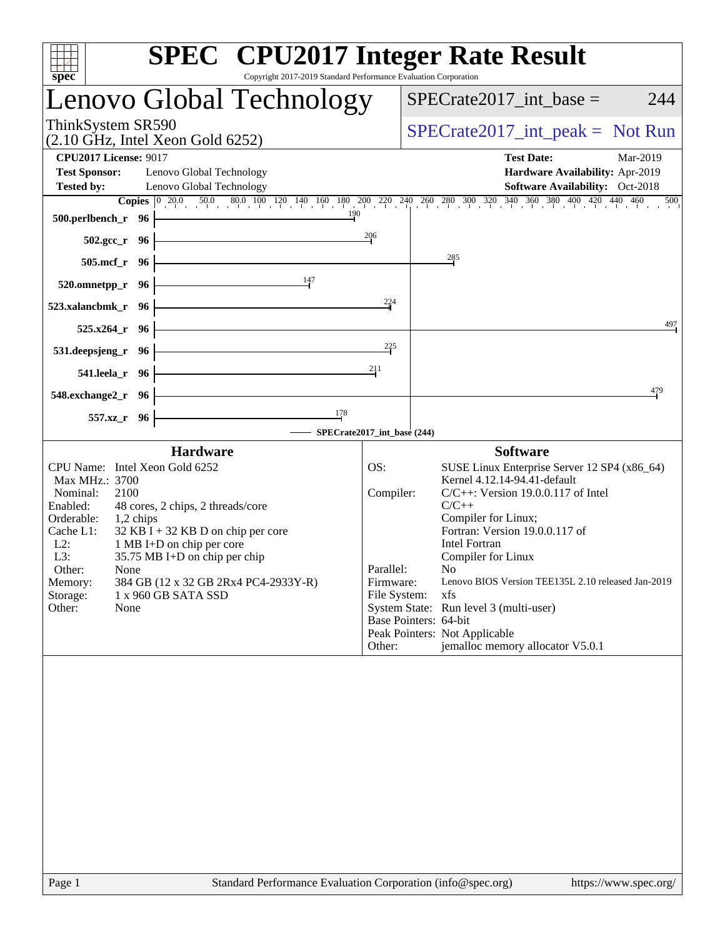| <b>SPEC<sup>®</sup></b> CPU2017 Integer Rate Result<br>Copyright 2017-2019 Standard Performance Evaluation Corporation<br>spec <sup>®</sup>                                                                                                                                                                                                                                                                      |                                                                                                                                                                                                                                                                                                                                                                                                                                                                                                                                        |
|------------------------------------------------------------------------------------------------------------------------------------------------------------------------------------------------------------------------------------------------------------------------------------------------------------------------------------------------------------------------------------------------------------------|----------------------------------------------------------------------------------------------------------------------------------------------------------------------------------------------------------------------------------------------------------------------------------------------------------------------------------------------------------------------------------------------------------------------------------------------------------------------------------------------------------------------------------------|
| Lenovo Global Technology                                                                                                                                                                                                                                                                                                                                                                                         | $SPECrate2017\_int\_base =$<br>244                                                                                                                                                                                                                                                                                                                                                                                                                                                                                                     |
| ThinkSystem SR590<br>$(2.10$ GHz, Intel Xeon Gold 6252)                                                                                                                                                                                                                                                                                                                                                          | $SPECrate2017\_int\_peak = Not Run$                                                                                                                                                                                                                                                                                                                                                                                                                                                                                                    |
| <b>CPU2017 License: 9017</b><br><b>Test Sponsor:</b><br>Lenovo Global Technology<br><b>Tested by:</b><br>Lenovo Global Technology                                                                                                                                                                                                                                                                                | <b>Test Date:</b><br>Mar-2019<br>Hardware Availability: Apr-2019<br>Software Availability: Oct-2018<br>500                                                                                                                                                                                                                                                                                                                                                                                                                             |
| $\frac{190}{1}$<br>$500.$ perlbench_r 96                                                                                                                                                                                                                                                                                                                                                                         | <b>Copies</b> $\begin{bmatrix} 0 & 20.0 & 50.0 & 80.0 & 100 & 120 & 140 & 160 & 180 & 200 & 220 & 240 & 260 & 300 & 320 & 340 & 360 & 380 & 400 & 420 & 440 & 460 \end{bmatrix}$                                                                                                                                                                                                                                                                                                                                                       |
| $502.\text{sec}\text{-r}$ 96<br>$505.\text{mcf}_r$ 96 –                                                                                                                                                                                                                                                                                                                                                          | 206<br>285                                                                                                                                                                                                                                                                                                                                                                                                                                                                                                                             |
| 520.omnetpp_r 96 $\frac{147}{1}$                                                                                                                                                                                                                                                                                                                                                                                 |                                                                                                                                                                                                                                                                                                                                                                                                                                                                                                                                        |
| $523.xalancbmk_r$ 96<br><u> 1980 - Johann Barn, mars ann an t-Amhain Aonaich an t-Aonaich an t-Aonaich ann an t-Aonaich ann an t-Aonaich</u><br>$525.x264$ _r 96                                                                                                                                                                                                                                                 | 224<br>497                                                                                                                                                                                                                                                                                                                                                                                                                                                                                                                             |
| 531.deepsjeng_r 96 -                                                                                                                                                                                                                                                                                                                                                                                             | 225                                                                                                                                                                                                                                                                                                                                                                                                                                                                                                                                    |
| 541.leela_r 96 $\vert$                                                                                                                                                                                                                                                                                                                                                                                           | 211                                                                                                                                                                                                                                                                                                                                                                                                                                                                                                                                    |
| <u> Alexandria de la contrada de la contrada de la con</u><br>548.exchange2_r 96 -<br>$\frac{178}{2}$<br>557.xz_r 96                                                                                                                                                                                                                                                                                             | 479                                                                                                                                                                                                                                                                                                                                                                                                                                                                                                                                    |
| SPECrate2017_int_base (244)<br><b>Hardware</b>                                                                                                                                                                                                                                                                                                                                                                   | <b>Software</b>                                                                                                                                                                                                                                                                                                                                                                                                                                                                                                                        |
| CPU Name: Intel Xeon Gold 6252<br>Max MHz.: 3700<br>Nominal:<br>2100<br>Enabled:<br>48 cores, 2 chips, 2 threads/core<br>Orderable:<br>$1,2$ chips<br>$32$ KB I + 32 KB D on chip per core<br>Cache L1:<br>1 MB I+D on chip per core<br>$L2$ :<br>L3:<br>35.75 MB I+D on chip per chip<br>Other:<br>None<br>384 GB (12 x 32 GB 2Rx4 PC4-2933Y-R)<br>Memory:<br>Storage:<br>1 x 960 GB SATA SSD<br>Other:<br>None | OS:<br>SUSE Linux Enterprise Server 12 SP4 (x86_64)<br>Kernel 4.12.14-94.41-default<br>$C/C++$ : Version 19.0.0.117 of Intel<br>Compiler:<br>$C/C++$<br>Compiler for Linux;<br>Fortran: Version 19.0.0.117 of<br><b>Intel Fortran</b><br>Compiler for Linux<br>Parallel:<br>N <sub>0</sub><br>Lenovo BIOS Version TEE135L 2.10 released Jan-2019<br>Firmware:<br>File System:<br>xfs<br>System State: Run level 3 (multi-user)<br>Base Pointers: 64-bit<br>Peak Pointers: Not Applicable<br>jemalloc memory allocator V5.0.1<br>Other: |
|                                                                                                                                                                                                                                                                                                                                                                                                                  |                                                                                                                                                                                                                                                                                                                                                                                                                                                                                                                                        |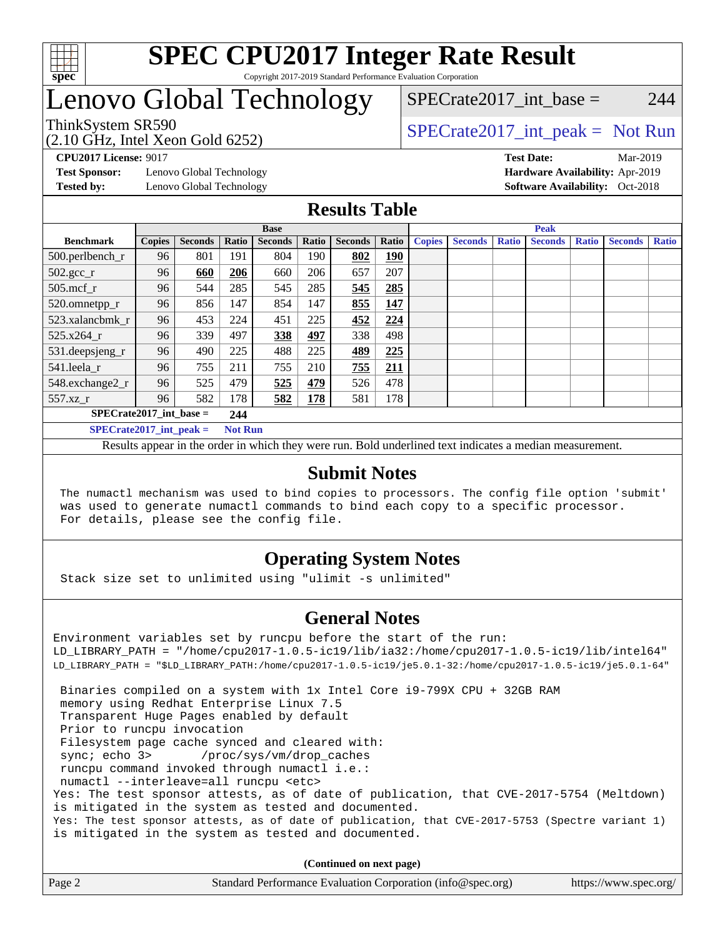

# Lenovo Global Technology

(2.10 GHz, Intel Xeon Gold 6252)

ThinkSystem SR590<br>  $SPECTA = Not Run$ <br>  $SPECTA = Not Run$ 

 $SPECTate2017\_int\_base = 244$ 

**[Test Sponsor:](http://www.spec.org/auto/cpu2017/Docs/result-fields.html#TestSponsor)** Lenovo Global Technology **[Hardware Availability:](http://www.spec.org/auto/cpu2017/Docs/result-fields.html#HardwareAvailability)** Apr-2019

**[CPU2017 License:](http://www.spec.org/auto/cpu2017/Docs/result-fields.html#CPU2017License)** 9017 **[Test Date:](http://www.spec.org/auto/cpu2017/Docs/result-fields.html#TestDate)** Mar-2019 **[Tested by:](http://www.spec.org/auto/cpu2017/Docs/result-fields.html#Testedby)** Lenovo Global Technology **[Software Availability:](http://www.spec.org/auto/cpu2017/Docs/result-fields.html#SoftwareAvailability)** Oct-2018

### **[Results Table](http://www.spec.org/auto/cpu2017/Docs/result-fields.html#ResultsTable)**

|                                               | <b>Base</b>   |                |       |                | <b>Peak</b> |                |            |               |                |              |                |              |                |              |
|-----------------------------------------------|---------------|----------------|-------|----------------|-------------|----------------|------------|---------------|----------------|--------------|----------------|--------------|----------------|--------------|
| <b>Benchmark</b>                              | <b>Copies</b> | <b>Seconds</b> | Ratio | <b>Seconds</b> | Ratio       | <b>Seconds</b> | Ratio      | <b>Copies</b> | <b>Seconds</b> | <b>Ratio</b> | <b>Seconds</b> | <b>Ratio</b> | <b>Seconds</b> | <b>Ratio</b> |
| 500.perlbench_r                               | 96            | 801            | 191   | 804            | 190         | 802            | <u>190</u> |               |                |              |                |              |                |              |
| $502.\text{gcc}$ _r                           | 96            | 660            | 206   | 660            | 206         | 657            | 207        |               |                |              |                |              |                |              |
| $505$ .mcf r                                  | 96            | 544            | 285   | 545            | 285         | 545            | 285        |               |                |              |                |              |                |              |
| 520.omnetpp_r                                 | 96            | 856            | 147   | 854            | 147         | 855            | 147        |               |                |              |                |              |                |              |
| 523.xalancbmk r                               | 96            | 453            | 224   | 451            | 225         | 452            | 224        |               |                |              |                |              |                |              |
| 525.x264 r                                    | 96            | 339            | 497   | 338            | 497         | 338            | 498        |               |                |              |                |              |                |              |
| 531.deepsjeng_r                               | 96            | 490            | 225   | 488            | 225         | 489            | 225        |               |                |              |                |              |                |              |
| 541.leela r                                   | 96            | 755            | 211   | 755            | 210         | 755            | 211        |               |                |              |                |              |                |              |
| 548.exchange2_r                               | 96            | 525            | 479   | 525            | 479         | 526            | 478        |               |                |              |                |              |                |              |
| 557.xz r                                      | 96            | 582            | 178   | 582            | 178         | 581            | 178        |               |                |              |                |              |                |              |
| $SPECrate2017$ int base =<br>244              |               |                |       |                |             |                |            |               |                |              |                |              |                |              |
| <b>Not Run</b><br>$SPECrate2017\_int\_peak =$ |               |                |       |                |             |                |            |               |                |              |                |              |                |              |

Results appear in the [order in which they were run](http://www.spec.org/auto/cpu2017/Docs/result-fields.html#RunOrder). Bold underlined text [indicates a median measurement](http://www.spec.org/auto/cpu2017/Docs/result-fields.html#Median).

#### **[Submit Notes](http://www.spec.org/auto/cpu2017/Docs/result-fields.html#SubmitNotes)**

 The numactl mechanism was used to bind copies to processors. The config file option 'submit' was used to generate numactl commands to bind each copy to a specific processor. For details, please see the config file.

### **[Operating System Notes](http://www.spec.org/auto/cpu2017/Docs/result-fields.html#OperatingSystemNotes)**

Stack size set to unlimited using "ulimit -s unlimited"

#### **[General Notes](http://www.spec.org/auto/cpu2017/Docs/result-fields.html#GeneralNotes)**

Environment variables set by runcpu before the start of the run: LD\_LIBRARY\_PATH = "/home/cpu2017-1.0.5-ic19/lib/ia32:/home/cpu2017-1.0.5-ic19/lib/intel64" LD\_LIBRARY\_PATH = "\$LD\_LIBRARY\_PATH:/home/cpu2017-1.0.5-ic19/je5.0.1-32:/home/cpu2017-1.0.5-ic19/je5.0.1-64" Binaries compiled on a system with 1x Intel Core i9-799X CPU + 32GB RAM memory using Redhat Enterprise Linux 7.5 Transparent Huge Pages enabled by default Prior to runcpu invocation Filesystem page cache synced and cleared with: sync; echo 3> /proc/sys/vm/drop\_caches runcpu command invoked through numactl i.e.: numactl --interleave=all runcpu <etc> Yes: The test sponsor attests, as of date of publication, that CVE-2017-5754 (Meltdown) is mitigated in the system as tested and documented. Yes: The test sponsor attests, as of date of publication, that CVE-2017-5753 (Spectre variant 1) is mitigated in the system as tested and documented.

**(Continued on next page)**

| Page 2 | Standard Performance Evaluation Corporation (info@spec.org) | https://www.spec.org/ |
|--------|-------------------------------------------------------------|-----------------------|
|        |                                                             |                       |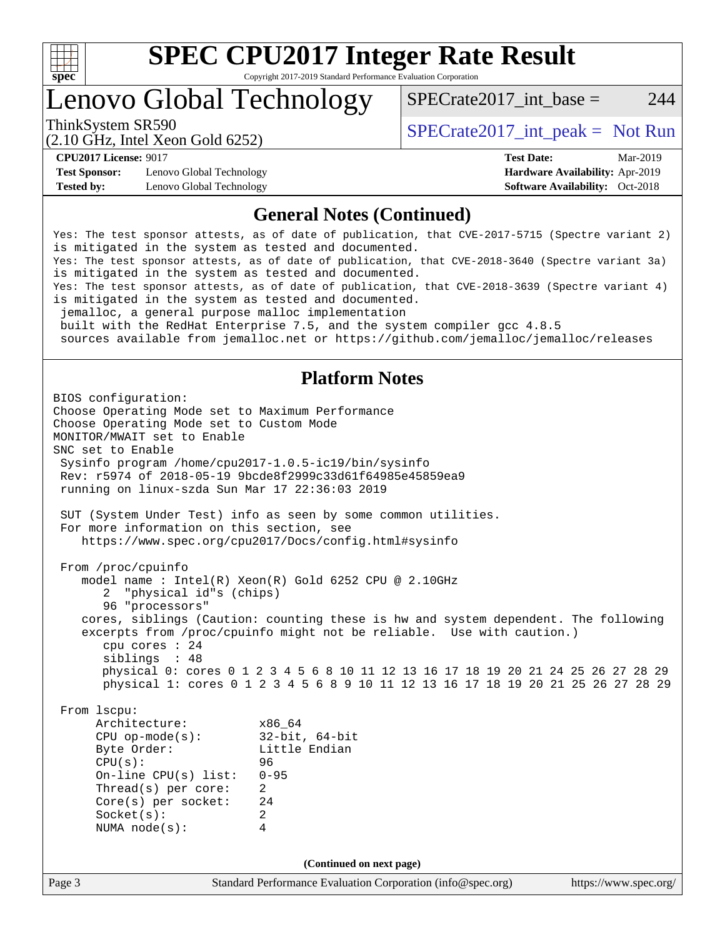

Lenovo Global Technology

ThinkSystem SR590<br>  $SPECTA = Not Run$ <br>  $SPECTA = Not Run$ 

 $SPECTate2017\_int\_base = 244$ 

(2.10 GHz, Intel Xeon Gold 6252)

**[Test Sponsor:](http://www.spec.org/auto/cpu2017/Docs/result-fields.html#TestSponsor)** Lenovo Global Technology **[Hardware Availability:](http://www.spec.org/auto/cpu2017/Docs/result-fields.html#HardwareAvailability)** Apr-2019 **[Tested by:](http://www.spec.org/auto/cpu2017/Docs/result-fields.html#Testedby)** Lenovo Global Technology **[Software Availability:](http://www.spec.org/auto/cpu2017/Docs/result-fields.html#SoftwareAvailability)** Oct-2018

**[CPU2017 License:](http://www.spec.org/auto/cpu2017/Docs/result-fields.html#CPU2017License)** 9017 **[Test Date:](http://www.spec.org/auto/cpu2017/Docs/result-fields.html#TestDate)** Mar-2019

#### **[General Notes \(Continued\)](http://www.spec.org/auto/cpu2017/Docs/result-fields.html#GeneralNotes)**

Yes: The test sponsor attests, as of date of publication, that CVE-2017-5715 (Spectre variant 2) is mitigated in the system as tested and documented. Yes: The test sponsor attests, as of date of publication, that CVE-2018-3640 (Spectre variant 3a) is mitigated in the system as tested and documented. Yes: The test sponsor attests, as of date of publication, that CVE-2018-3639 (Spectre variant 4) is mitigated in the system as tested and documented. jemalloc, a general purpose malloc implementation built with the RedHat Enterprise 7.5, and the system compiler gcc 4.8.5 sources available from jemalloc.net or<https://github.com/jemalloc/jemalloc/releases>

#### **[Platform Notes](http://www.spec.org/auto/cpu2017/Docs/result-fields.html#PlatformNotes)**

Page 3 Standard Performance Evaluation Corporation [\(info@spec.org\)](mailto:info@spec.org) <https://www.spec.org/> BIOS configuration: Choose Operating Mode set to Maximum Performance Choose Operating Mode set to Custom Mode MONITOR/MWAIT set to Enable SNC set to Enable Sysinfo program /home/cpu2017-1.0.5-ic19/bin/sysinfo Rev: r5974 of 2018-05-19 9bcde8f2999c33d61f64985e45859ea9 running on linux-szda Sun Mar 17 22:36:03 2019 SUT (System Under Test) info as seen by some common utilities. For more information on this section, see <https://www.spec.org/cpu2017/Docs/config.html#sysinfo> From /proc/cpuinfo model name : Intel(R) Xeon(R) Gold 6252 CPU @ 2.10GHz 2 "physical id"s (chips) 96 "processors" cores, siblings (Caution: counting these is hw and system dependent. The following excerpts from /proc/cpuinfo might not be reliable. Use with caution.) cpu cores : 24 siblings : 48 physical 0: cores 0 1 2 3 4 5 6 8 10 11 12 13 16 17 18 19 20 21 24 25 26 27 28 29 physical 1: cores 0 1 2 3 4 5 6 8 9 10 11 12 13 16 17 18 19 20 21 25 26 27 28 29 From lscpu: Architecture: x86\_64<br>
CPU op-mode(s): 32-bit, 64-bit CPU op-mode $(s)$ : Byte Order: Little Endian CPU(s): 96 On-line CPU(s) list: 0-95 Thread(s) per core: 2 Core(s) per socket: 24 Socket(s): 2 NUMA node(s): 4 **(Continued on next page)**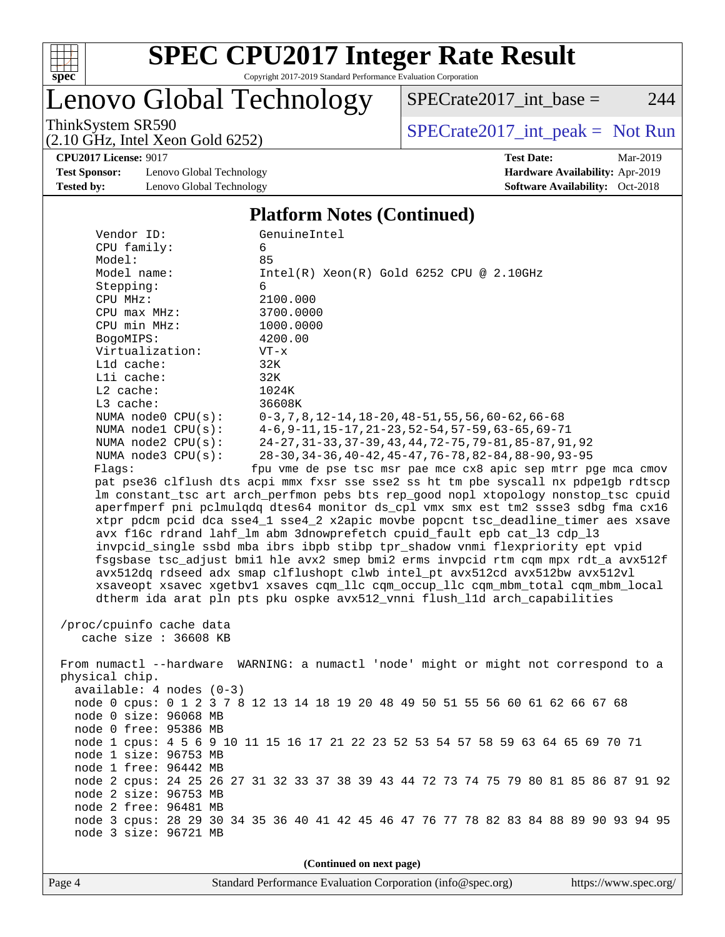

# Lenovo Global Technology

ThinkSystem SR590<br>  $(2.10 \text{ GHz. Intel } X_{\text{QCD}}$  Gold 6252)  $SPECTate2017\_int\_base = 244$ 

(2.10 GHz, Intel Xeon Gold 6252)

**[CPU2017 License:](http://www.spec.org/auto/cpu2017/Docs/result-fields.html#CPU2017License)** 9017 **[Test Date:](http://www.spec.org/auto/cpu2017/Docs/result-fields.html#TestDate)** Mar-2019

**[Test Sponsor:](http://www.spec.org/auto/cpu2017/Docs/result-fields.html#TestSponsor)** Lenovo Global Technology **[Hardware Availability:](http://www.spec.org/auto/cpu2017/Docs/result-fields.html#HardwareAvailability)** Apr-2019 **[Tested by:](http://www.spec.org/auto/cpu2017/Docs/result-fields.html#Testedby)** Lenovo Global Technology **[Software Availability:](http://www.spec.org/auto/cpu2017/Docs/result-fields.html#SoftwareAvailability)** Oct-2018

#### **[Platform Notes \(Continued\)](http://www.spec.org/auto/cpu2017/Docs/result-fields.html#PlatformNotes)**

| Vendor ID:                 | GenuineIntel                                                                                                    |  |  |  |  |
|----------------------------|-----------------------------------------------------------------------------------------------------------------|--|--|--|--|
| CPU family:                | 6                                                                                                               |  |  |  |  |
| Model:                     | 85                                                                                                              |  |  |  |  |
| Model name:                | $Intel(R) Xeon(R) Gold 6252 CPU @ 2.10GHz$                                                                      |  |  |  |  |
| Stepping:                  | 6                                                                                                               |  |  |  |  |
| CPU MHz:                   | 2100.000                                                                                                        |  |  |  |  |
| CPU max MHz:               | 3700.0000                                                                                                       |  |  |  |  |
| CPU min MHz:               | 1000.0000                                                                                                       |  |  |  |  |
| BogoMIPS:                  | 4200.00                                                                                                         |  |  |  |  |
| Virtualization:            | $VT - x$                                                                                                        |  |  |  |  |
| L1d cache:                 | 32K                                                                                                             |  |  |  |  |
| Lli cache:                 | 32K                                                                                                             |  |  |  |  |
| L2 cache:<br>$L3$ cache:   | 1024K<br>36608K                                                                                                 |  |  |  |  |
| NUMA node0 CPU(s):         |                                                                                                                 |  |  |  |  |
| NUMA nodel CPU(s):         | $0-3, 7, 8, 12-14, 18-20, 48-51, 55, 56, 60-62, 66-68$<br>$4-6, 9-11, 15-17, 21-23, 52-54, 57-59, 63-65, 69-71$ |  |  |  |  |
| NUMA $node2$ $CPU(s)$ :    | 24-27, 31-33, 37-39, 43, 44, 72-75, 79-81, 85-87, 91, 92                                                        |  |  |  |  |
| NUMA node3 CPU(s):         | 28-30, 34-36, 40-42, 45-47, 76-78, 82-84, 88-90, 93-95                                                          |  |  |  |  |
| Flaqs:                     | fpu vme de pse tsc msr pae mce cx8 apic sep mtrr pge mca cmov                                                   |  |  |  |  |
|                            | pat pse36 clflush dts acpi mmx fxsr sse sse2 ss ht tm pbe syscall nx pdpelgb rdtscp                             |  |  |  |  |
|                            | lm constant_tsc art arch_perfmon pebs bts rep_good nopl xtopology nonstop_tsc cpuid                             |  |  |  |  |
|                            | aperfmperf pni pclmulqdq dtes64 monitor ds_cpl vmx smx est tm2 ssse3 sdbg fma cx16                              |  |  |  |  |
|                            | xtpr pdcm pcid dca sse4_1 sse4_2 x2apic movbe popcnt tsc_deadline_timer aes xsave                               |  |  |  |  |
|                            | avx f16c rdrand lahf lm abm 3dnowprefetch cpuid fault epb cat 13 cdp 13                                         |  |  |  |  |
|                            | invpcid_single ssbd mba ibrs ibpb stibp tpr_shadow vnmi flexpriority ept vpid                                   |  |  |  |  |
|                            | fsgsbase tsc_adjust bmil hle avx2 smep bmi2 erms invpcid rtm cqm mpx rdt_a avx512f                              |  |  |  |  |
|                            | avx512dq rdseed adx smap clflushopt clwb intel_pt avx512cd avx512bw avx512vl                                    |  |  |  |  |
|                            | xsaveopt xsavec xgetbvl xsaves cqm_llc cqm_occup_llc cqm_mbm_total cqm_mbm_local                                |  |  |  |  |
|                            | dtherm ida arat pln pts pku ospke avx512_vnni flush_lld arch_capabilities                                       |  |  |  |  |
|                            |                                                                                                                 |  |  |  |  |
| /proc/cpuinfo cache data   |                                                                                                                 |  |  |  |  |
| cache size : 36608 KB      |                                                                                                                 |  |  |  |  |
|                            |                                                                                                                 |  |  |  |  |
|                            | From numactl --hardware WARNING: a numactl 'node' might or might not correspond to a                            |  |  |  |  |
| physical chip.             |                                                                                                                 |  |  |  |  |
| $available: 4 nodes (0-3)$ |                                                                                                                 |  |  |  |  |
|                            | node 0 cpus: 0 1 2 3 7 8 12 13 14 18 19 20 48 49 50 51 55 56 60 61 62 66 67 68                                  |  |  |  |  |
| node 0 size: 96068 MB      |                                                                                                                 |  |  |  |  |
| node 0 free: 95386 MB      |                                                                                                                 |  |  |  |  |
|                            | node 1 cpus: 4 5 6 9 10 11 15 16 17 21 22 23 52 53 54 57 58 59 63 64 65 69 70 71                                |  |  |  |  |
| node 1 size: 96753 MB      |                                                                                                                 |  |  |  |  |
| node 1 free: 96442 MB      |                                                                                                                 |  |  |  |  |
|                            | node 2 cpus: 24 25 26 27 31 32 33 37 38 39 43 44 72 73 74 75 79 80 81 85 86 87 91 92                            |  |  |  |  |
| node 2 size: 96753 MB      |                                                                                                                 |  |  |  |  |
| node 2 free: 96481 MB      |                                                                                                                 |  |  |  |  |
|                            | node 3 cpus: 28 29 30 34 35 36 40 41 42 45 46 47 76 77 78 82 83 84 88 89 90 93 94 95                            |  |  |  |  |
| node 3 size: 96721 MB      |                                                                                                                 |  |  |  |  |
| (Continued on next page)   |                                                                                                                 |  |  |  |  |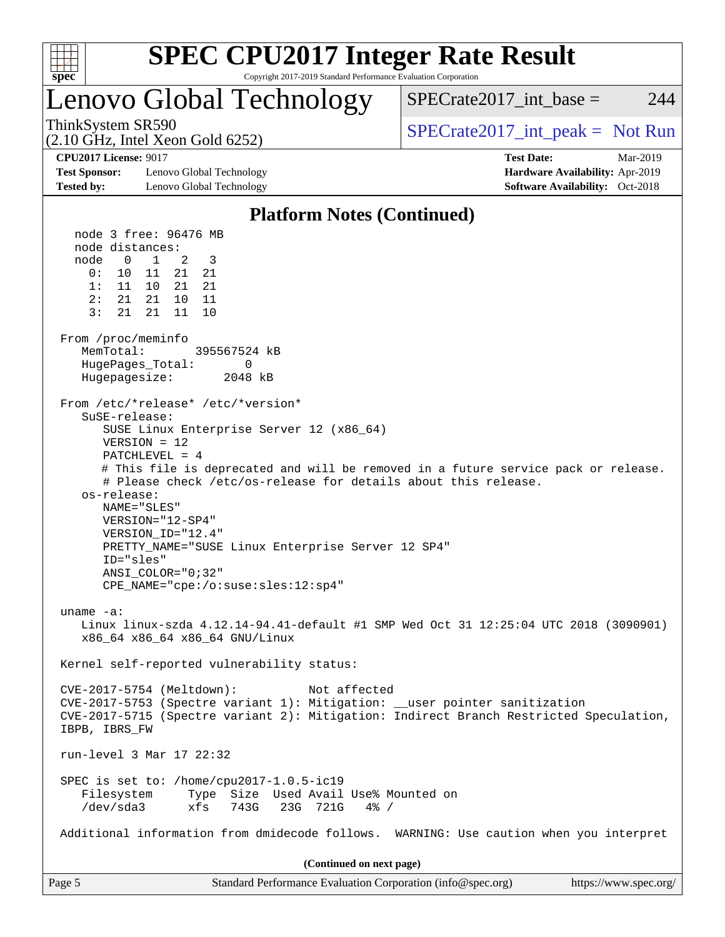

## Lenovo Global Technology

ThinkSystem SR590<br>  $SPECTA = Not Run$ <br>  $SPECTA = Not Run$ 

SPECrate  $2017$  int base = 244

**[Test Sponsor:](http://www.spec.org/auto/cpu2017/Docs/result-fields.html#TestSponsor)** Lenovo Global Technology **[Hardware Availability:](http://www.spec.org/auto/cpu2017/Docs/result-fields.html#HardwareAvailability)** Apr-2019

(2.10 GHz, Intel Xeon Gold 6252)

**[CPU2017 License:](http://www.spec.org/auto/cpu2017/Docs/result-fields.html#CPU2017License)** 9017 **[Test Date:](http://www.spec.org/auto/cpu2017/Docs/result-fields.html#TestDate)** Mar-2019

#### **[Tested by:](http://www.spec.org/auto/cpu2017/Docs/result-fields.html#Testedby)** Lenovo Global Technology **[Software Availability:](http://www.spec.org/auto/cpu2017/Docs/result-fields.html#SoftwareAvailability)** Oct-2018 **[Platform Notes \(Continued\)](http://www.spec.org/auto/cpu2017/Docs/result-fields.html#PlatformNotes)** node 3 free: 96476 MB node distances: node 0 1 2 3 0: 10 11 21 21 1: 11 10 21 21 2: 21 21 10 11 3: 21 21 11 10 From /proc/meminfo MemTotal: 395567524 kB HugePages\_Total: 0 Hugepagesize: 2048 kB From /etc/\*release\* /etc/\*version\* SuSE-release: SUSE Linux Enterprise Server 12 (x86\_64) VERSION = 12 PATCHLEVEL = 4 # This file is deprecated and will be removed in a future service pack or release. # Please check /etc/os-release for details about this release. os-release: NAME="SLES" VERSION="12-SP4"

 VERSION\_ID="12.4" PRETTY\_NAME="SUSE Linux Enterprise Server 12 SP4" ID="sles" ANSI\_COLOR="0;32"

CPE\_NAME="cpe:/o:suse:sles:12:sp4"

 uname -a: Linux linux-szda 4.12.14-94.41-default #1 SMP Wed Oct 31 12:25:04 UTC 2018 (3090901) x86\_64 x86\_64 x86\_64 GNU/Linux

Kernel self-reported vulnerability status:

 CVE-2017-5754 (Meltdown): Not affected CVE-2017-5753 (Spectre variant 1): Mitigation: \_\_user pointer sanitization CVE-2017-5715 (Spectre variant 2): Mitigation: Indirect Branch Restricted Speculation, IBPB, IBRS\_FW run-level 3 Mar 17 22:32 SPEC is set to: /home/cpu2017-1.0.5-ic19 Filesystem Type Size Used Avail Use% Mounted on /dev/sda3 xfs 743G 23G 721G 4% /

Additional information from dmidecode follows. WARNING: Use caution when you interpret

**(Continued on next page)**

| Page 5<br>Standard Performance Evaluation Corporation (info@spec.org)<br>https://www.spec.org/ |
|------------------------------------------------------------------------------------------------|
|------------------------------------------------------------------------------------------------|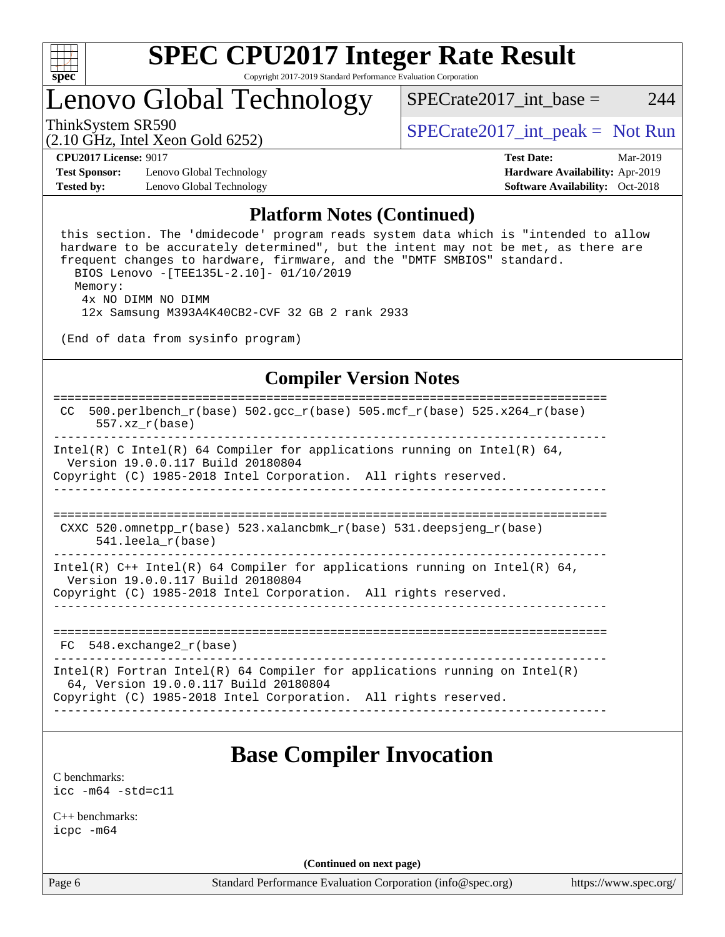

## Lenovo Global Technology

ThinkSystem SR590<br>  $SPECTA = Not Run$ <br>  $SPECTA = Not Run$ 

 $SPECTate2017\_int\_base = 244$ 

(2.10 GHz, Intel Xeon Gold 6252)

**[Test Sponsor:](http://www.spec.org/auto/cpu2017/Docs/result-fields.html#TestSponsor)** Lenovo Global Technology **[Hardware Availability:](http://www.spec.org/auto/cpu2017/Docs/result-fields.html#HardwareAvailability)** Apr-2019 **[Tested by:](http://www.spec.org/auto/cpu2017/Docs/result-fields.html#Testedby)** Lenovo Global Technology **[Software Availability:](http://www.spec.org/auto/cpu2017/Docs/result-fields.html#SoftwareAvailability)** Oct-2018

**[CPU2017 License:](http://www.spec.org/auto/cpu2017/Docs/result-fields.html#CPU2017License)** 9017 **[Test Date:](http://www.spec.org/auto/cpu2017/Docs/result-fields.html#TestDate)** Mar-2019

#### **[Platform Notes \(Continued\)](http://www.spec.org/auto/cpu2017/Docs/result-fields.html#PlatformNotes)**

 this section. The 'dmidecode' program reads system data which is "intended to allow hardware to be accurately determined", but the intent may not be met, as there are frequent changes to hardware, firmware, and the "DMTF SMBIOS" standard. BIOS Lenovo -[TEE135L-2.10]- 01/10/2019 Memory: 4x NO DIMM NO DIMM 12x Samsung M393A4K40CB2-CVF 32 GB 2 rank 2933

(End of data from sysinfo program)

#### **[Compiler Version Notes](http://www.spec.org/auto/cpu2017/Docs/result-fields.html#CompilerVersionNotes)**

```
==============================================================================
 CC 500.perlbench_r(base) 502.\text{gcc}_r(\text{base}) 505.mcf_r(base) 525.x264_r(\text{base}) 557.xz_r(base)
 ------------------------------------------------------------------------------
Intel(R) C Intel(R) 64 Compiler for applications running on Intel(R) 64,
   Version 19.0.0.117 Build 20180804
Copyright (C) 1985-2018 Intel Corporation. All rights reserved.
           ------------------------------------------------------------------------------
==============================================================================
  CXXC 520.omnetpp_r(base) 523.xalancbmk_r(base) 531.deepsjeng_r(base)
       541.leela_r(base)
                                 ------------------------------------------------------------------------------
Intel(R) C++ Intel(R) 64 Compiler for applications running on Intel(R) 64,
   Version 19.0.0.117 Build 20180804
Copyright (C) 1985-2018 Intel Corporation. All rights reserved.
                ------------------------------------------------------------------------------
==============================================================================
  FC 548.exchange2_r(base) 
------------------------------------------------------------------------------
Intel(R) Fortran Intel(R) 64 Compiler for applications running on Intel(R)
   64, Version 19.0.0.117 Build 20180804
Copyright (C) 1985-2018 Intel Corporation. All rights reserved.
------------------------------------------------------------------------------
```
### **[Base Compiler Invocation](http://www.spec.org/auto/cpu2017/Docs/result-fields.html#BaseCompilerInvocation)**

[C benchmarks](http://www.spec.org/auto/cpu2017/Docs/result-fields.html#Cbenchmarks): [icc -m64 -std=c11](http://www.spec.org/cpu2017/results/res2019q2/cpu2017-20190319-11471.flags.html#user_CCbase_intel_icc_64bit_c11_33ee0cdaae7deeeab2a9725423ba97205ce30f63b9926c2519791662299b76a0318f32ddfffdc46587804de3178b4f9328c46fa7c2b0cd779d7a61945c91cd35)

[C++ benchmarks:](http://www.spec.org/auto/cpu2017/Docs/result-fields.html#CXXbenchmarks) [icpc -m64](http://www.spec.org/cpu2017/results/res2019q2/cpu2017-20190319-11471.flags.html#user_CXXbase_intel_icpc_64bit_4ecb2543ae3f1412ef961e0650ca070fec7b7afdcd6ed48761b84423119d1bf6bdf5cad15b44d48e7256388bc77273b966e5eb805aefd121eb22e9299b2ec9d9)

**(Continued on next page)**

Page 6 Standard Performance Evaluation Corporation [\(info@spec.org\)](mailto:info@spec.org) <https://www.spec.org/>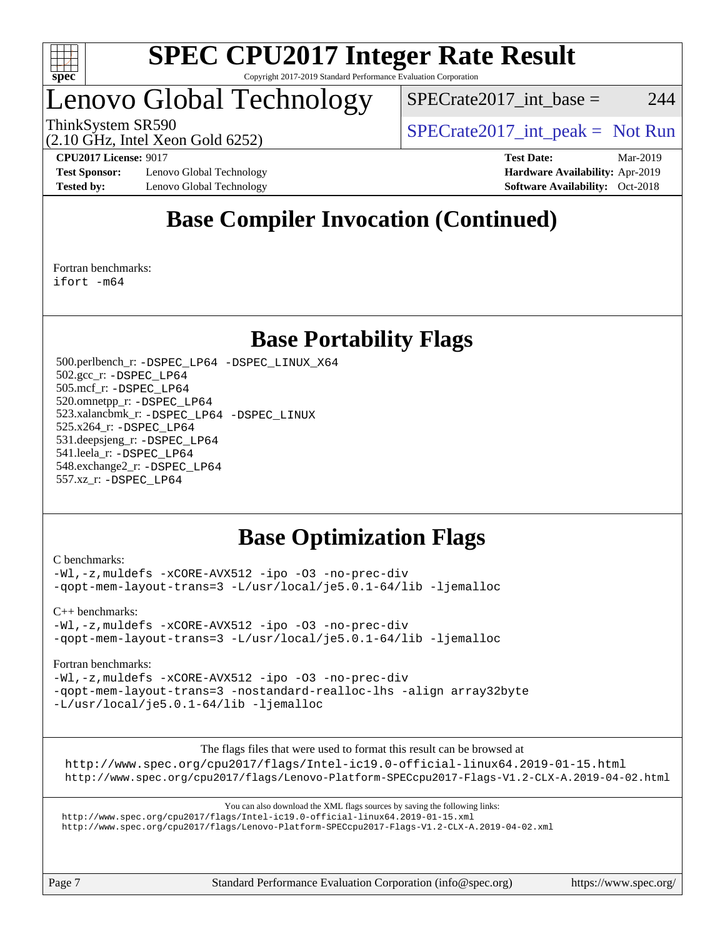

### Lenovo Global Technology

 $SPECTate2017\_int\_base = 244$ 

(2.10 GHz, Intel Xeon Gold 6252)

ThinkSystem SR590<br>  $SPECTA = Not Run$ <br>  $SPECTA = Not Run$ 

**[Test Sponsor:](http://www.spec.org/auto/cpu2017/Docs/result-fields.html#TestSponsor)** Lenovo Global Technology **[Hardware Availability:](http://www.spec.org/auto/cpu2017/Docs/result-fields.html#HardwareAvailability)** Apr-2019 **[Tested by:](http://www.spec.org/auto/cpu2017/Docs/result-fields.html#Testedby)** Lenovo Global Technology **[Software Availability:](http://www.spec.org/auto/cpu2017/Docs/result-fields.html#SoftwareAvailability)** Oct-2018

**[CPU2017 License:](http://www.spec.org/auto/cpu2017/Docs/result-fields.html#CPU2017License)** 9017 **[Test Date:](http://www.spec.org/auto/cpu2017/Docs/result-fields.html#TestDate)** Mar-2019

### **[Base Compiler Invocation \(Continued\)](http://www.spec.org/auto/cpu2017/Docs/result-fields.html#BaseCompilerInvocation)**

[Fortran benchmarks](http://www.spec.org/auto/cpu2017/Docs/result-fields.html#Fortranbenchmarks): [ifort -m64](http://www.spec.org/cpu2017/results/res2019q2/cpu2017-20190319-11471.flags.html#user_FCbase_intel_ifort_64bit_24f2bb282fbaeffd6157abe4f878425411749daecae9a33200eee2bee2fe76f3b89351d69a8130dd5949958ce389cf37ff59a95e7a40d588e8d3a57e0c3fd751)

### **[Base Portability Flags](http://www.spec.org/auto/cpu2017/Docs/result-fields.html#BasePortabilityFlags)**

 500.perlbench\_r: [-DSPEC\\_LP64](http://www.spec.org/cpu2017/results/res2019q2/cpu2017-20190319-11471.flags.html#b500.perlbench_r_basePORTABILITY_DSPEC_LP64) [-DSPEC\\_LINUX\\_X64](http://www.spec.org/cpu2017/results/res2019q2/cpu2017-20190319-11471.flags.html#b500.perlbench_r_baseCPORTABILITY_DSPEC_LINUX_X64) 502.gcc\_r: [-DSPEC\\_LP64](http://www.spec.org/cpu2017/results/res2019q2/cpu2017-20190319-11471.flags.html#suite_basePORTABILITY502_gcc_r_DSPEC_LP64) 505.mcf\_r: [-DSPEC\\_LP64](http://www.spec.org/cpu2017/results/res2019q2/cpu2017-20190319-11471.flags.html#suite_basePORTABILITY505_mcf_r_DSPEC_LP64) 520.omnetpp\_r: [-DSPEC\\_LP64](http://www.spec.org/cpu2017/results/res2019q2/cpu2017-20190319-11471.flags.html#suite_basePORTABILITY520_omnetpp_r_DSPEC_LP64) 523.xalancbmk\_r: [-DSPEC\\_LP64](http://www.spec.org/cpu2017/results/res2019q2/cpu2017-20190319-11471.flags.html#suite_basePORTABILITY523_xalancbmk_r_DSPEC_LP64) [-DSPEC\\_LINUX](http://www.spec.org/cpu2017/results/res2019q2/cpu2017-20190319-11471.flags.html#b523.xalancbmk_r_baseCXXPORTABILITY_DSPEC_LINUX) 525.x264\_r: [-DSPEC\\_LP64](http://www.spec.org/cpu2017/results/res2019q2/cpu2017-20190319-11471.flags.html#suite_basePORTABILITY525_x264_r_DSPEC_LP64) 531.deepsjeng\_r: [-DSPEC\\_LP64](http://www.spec.org/cpu2017/results/res2019q2/cpu2017-20190319-11471.flags.html#suite_basePORTABILITY531_deepsjeng_r_DSPEC_LP64) 541.leela\_r: [-DSPEC\\_LP64](http://www.spec.org/cpu2017/results/res2019q2/cpu2017-20190319-11471.flags.html#suite_basePORTABILITY541_leela_r_DSPEC_LP64) 548.exchange2\_r: [-DSPEC\\_LP64](http://www.spec.org/cpu2017/results/res2019q2/cpu2017-20190319-11471.flags.html#suite_basePORTABILITY548_exchange2_r_DSPEC_LP64) 557.xz\_r: [-DSPEC\\_LP64](http://www.spec.org/cpu2017/results/res2019q2/cpu2017-20190319-11471.flags.html#suite_basePORTABILITY557_xz_r_DSPEC_LP64)

### **[Base Optimization Flags](http://www.spec.org/auto/cpu2017/Docs/result-fields.html#BaseOptimizationFlags)**

#### [C benchmarks](http://www.spec.org/auto/cpu2017/Docs/result-fields.html#Cbenchmarks):

[-Wl,-z,muldefs](http://www.spec.org/cpu2017/results/res2019q2/cpu2017-20190319-11471.flags.html#user_CCbase_link_force_multiple1_b4cbdb97b34bdee9ceefcfe54f4c8ea74255f0b02a4b23e853cdb0e18eb4525ac79b5a88067c842dd0ee6996c24547a27a4b99331201badda8798ef8a743f577) [-xCORE-AVX512](http://www.spec.org/cpu2017/results/res2019q2/cpu2017-20190319-11471.flags.html#user_CCbase_f-xCORE-AVX512) [-ipo](http://www.spec.org/cpu2017/results/res2019q2/cpu2017-20190319-11471.flags.html#user_CCbase_f-ipo) [-O3](http://www.spec.org/cpu2017/results/res2019q2/cpu2017-20190319-11471.flags.html#user_CCbase_f-O3) [-no-prec-div](http://www.spec.org/cpu2017/results/res2019q2/cpu2017-20190319-11471.flags.html#user_CCbase_f-no-prec-div) [-qopt-mem-layout-trans=3](http://www.spec.org/cpu2017/results/res2019q2/cpu2017-20190319-11471.flags.html#user_CCbase_f-qopt-mem-layout-trans_de80db37974c74b1f0e20d883f0b675c88c3b01e9d123adea9b28688d64333345fb62bc4a798493513fdb68f60282f9a726aa07f478b2f7113531aecce732043) [-L/usr/local/je5.0.1-64/lib](http://www.spec.org/cpu2017/results/res2019q2/cpu2017-20190319-11471.flags.html#user_CCbase_jemalloc_link_path64_4b10a636b7bce113509b17f3bd0d6226c5fb2346b9178c2d0232c14f04ab830f976640479e5c33dc2bcbbdad86ecfb6634cbbd4418746f06f368b512fced5394) [-ljemalloc](http://www.spec.org/cpu2017/results/res2019q2/cpu2017-20190319-11471.flags.html#user_CCbase_jemalloc_link_lib_d1249b907c500fa1c0672f44f562e3d0f79738ae9e3c4a9c376d49f265a04b9c99b167ecedbf6711b3085be911c67ff61f150a17b3472be731631ba4d0471706)

[C++ benchmarks:](http://www.spec.org/auto/cpu2017/Docs/result-fields.html#CXXbenchmarks)

[-Wl,-z,muldefs](http://www.spec.org/cpu2017/results/res2019q2/cpu2017-20190319-11471.flags.html#user_CXXbase_link_force_multiple1_b4cbdb97b34bdee9ceefcfe54f4c8ea74255f0b02a4b23e853cdb0e18eb4525ac79b5a88067c842dd0ee6996c24547a27a4b99331201badda8798ef8a743f577) [-xCORE-AVX512](http://www.spec.org/cpu2017/results/res2019q2/cpu2017-20190319-11471.flags.html#user_CXXbase_f-xCORE-AVX512) [-ipo](http://www.spec.org/cpu2017/results/res2019q2/cpu2017-20190319-11471.flags.html#user_CXXbase_f-ipo) [-O3](http://www.spec.org/cpu2017/results/res2019q2/cpu2017-20190319-11471.flags.html#user_CXXbase_f-O3) [-no-prec-div](http://www.spec.org/cpu2017/results/res2019q2/cpu2017-20190319-11471.flags.html#user_CXXbase_f-no-prec-div) [-qopt-mem-layout-trans=3](http://www.spec.org/cpu2017/results/res2019q2/cpu2017-20190319-11471.flags.html#user_CXXbase_f-qopt-mem-layout-trans_de80db37974c74b1f0e20d883f0b675c88c3b01e9d123adea9b28688d64333345fb62bc4a798493513fdb68f60282f9a726aa07f478b2f7113531aecce732043) [-L/usr/local/je5.0.1-64/lib](http://www.spec.org/cpu2017/results/res2019q2/cpu2017-20190319-11471.flags.html#user_CXXbase_jemalloc_link_path64_4b10a636b7bce113509b17f3bd0d6226c5fb2346b9178c2d0232c14f04ab830f976640479e5c33dc2bcbbdad86ecfb6634cbbd4418746f06f368b512fced5394) [-ljemalloc](http://www.spec.org/cpu2017/results/res2019q2/cpu2017-20190319-11471.flags.html#user_CXXbase_jemalloc_link_lib_d1249b907c500fa1c0672f44f562e3d0f79738ae9e3c4a9c376d49f265a04b9c99b167ecedbf6711b3085be911c67ff61f150a17b3472be731631ba4d0471706)

[Fortran benchmarks](http://www.spec.org/auto/cpu2017/Docs/result-fields.html#Fortranbenchmarks):

[-Wl,-z,muldefs](http://www.spec.org/cpu2017/results/res2019q2/cpu2017-20190319-11471.flags.html#user_FCbase_link_force_multiple1_b4cbdb97b34bdee9ceefcfe54f4c8ea74255f0b02a4b23e853cdb0e18eb4525ac79b5a88067c842dd0ee6996c24547a27a4b99331201badda8798ef8a743f577) [-xCORE-AVX512](http://www.spec.org/cpu2017/results/res2019q2/cpu2017-20190319-11471.flags.html#user_FCbase_f-xCORE-AVX512) [-ipo](http://www.spec.org/cpu2017/results/res2019q2/cpu2017-20190319-11471.flags.html#user_FCbase_f-ipo) [-O3](http://www.spec.org/cpu2017/results/res2019q2/cpu2017-20190319-11471.flags.html#user_FCbase_f-O3) [-no-prec-div](http://www.spec.org/cpu2017/results/res2019q2/cpu2017-20190319-11471.flags.html#user_FCbase_f-no-prec-div) [-qopt-mem-layout-trans=3](http://www.spec.org/cpu2017/results/res2019q2/cpu2017-20190319-11471.flags.html#user_FCbase_f-qopt-mem-layout-trans_de80db37974c74b1f0e20d883f0b675c88c3b01e9d123adea9b28688d64333345fb62bc4a798493513fdb68f60282f9a726aa07f478b2f7113531aecce732043) [-nostandard-realloc-lhs](http://www.spec.org/cpu2017/results/res2019q2/cpu2017-20190319-11471.flags.html#user_FCbase_f_2003_std_realloc_82b4557e90729c0f113870c07e44d33d6f5a304b4f63d4c15d2d0f1fab99f5daaed73bdb9275d9ae411527f28b936061aa8b9c8f2d63842963b95c9dd6426b8a) [-align array32byte](http://www.spec.org/cpu2017/results/res2019q2/cpu2017-20190319-11471.flags.html#user_FCbase_align_array32byte_b982fe038af199962ba9a80c053b8342c548c85b40b8e86eb3cc33dee0d7986a4af373ac2d51c3f7cf710a18d62fdce2948f201cd044323541f22fc0fffc51b6) [-L/usr/local/je5.0.1-64/lib](http://www.spec.org/cpu2017/results/res2019q2/cpu2017-20190319-11471.flags.html#user_FCbase_jemalloc_link_path64_4b10a636b7bce113509b17f3bd0d6226c5fb2346b9178c2d0232c14f04ab830f976640479e5c33dc2bcbbdad86ecfb6634cbbd4418746f06f368b512fced5394) [-ljemalloc](http://www.spec.org/cpu2017/results/res2019q2/cpu2017-20190319-11471.flags.html#user_FCbase_jemalloc_link_lib_d1249b907c500fa1c0672f44f562e3d0f79738ae9e3c4a9c376d49f265a04b9c99b167ecedbf6711b3085be911c67ff61f150a17b3472be731631ba4d0471706)

The flags files that were used to format this result can be browsed at

<http://www.spec.org/cpu2017/flags/Intel-ic19.0-official-linux64.2019-01-15.html> <http://www.spec.org/cpu2017/flags/Lenovo-Platform-SPECcpu2017-Flags-V1.2-CLX-A.2019-04-02.html>

You can also download the XML flags sources by saving the following links:

<http://www.spec.org/cpu2017/flags/Intel-ic19.0-official-linux64.2019-01-15.xml> <http://www.spec.org/cpu2017/flags/Lenovo-Platform-SPECcpu2017-Flags-V1.2-CLX-A.2019-04-02.xml>